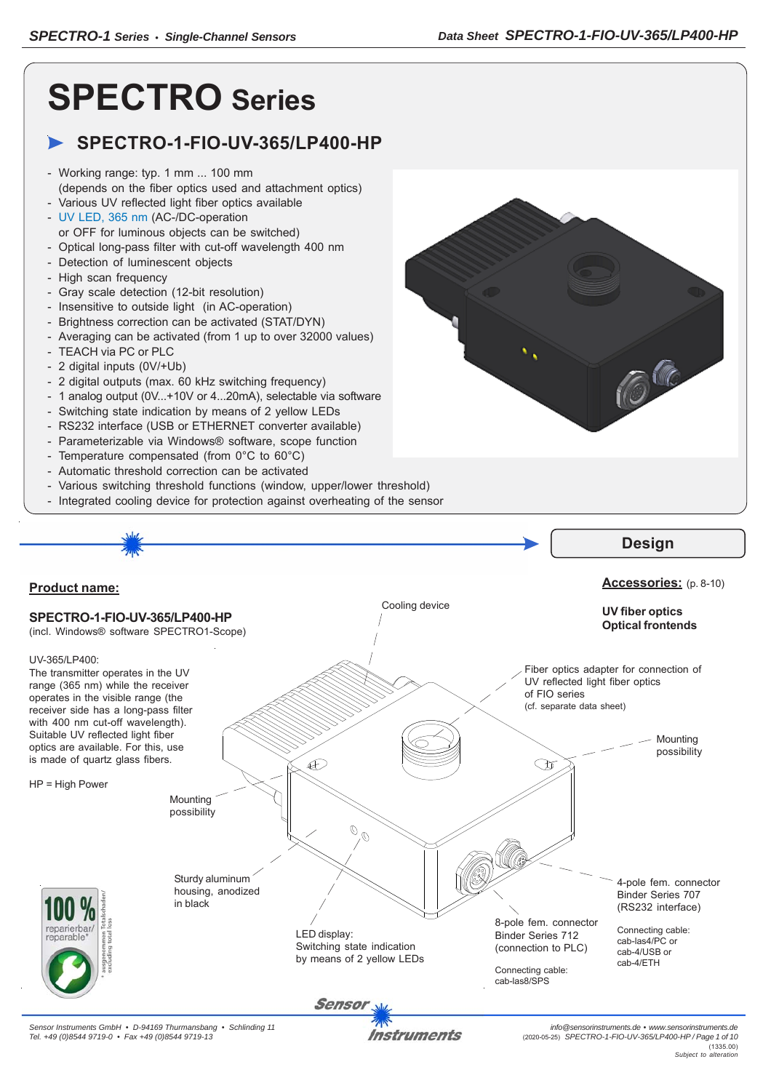C

# **SPECTRO Series**

## **SPECTRO-1-FIO-UV-365/LP400-HP**

- Working range: typ. 1 mm ... 100 mm (depends on the fiber optics used and attachment optics)
- Various UV reflected light fiber optics available - UV LED, 365 nm (AC-/DC-operation
- or OFF for luminous objects can be switched)
- Optical long-pass filter with cut-off wavelength 400 nm
- Detection of luminescent objects
- High scan frequency
- Gray scale detection (12-bit resolution)
- Insensitive to outside light (in AC-operation)
- Brightness correction can be activated (STAT/DYN)
- Averaging can be activated (from 1 up to over 32000 values)
- TEACH via PC or PLC
- 2 digital inputs (0V/+Ub)
- 2 digital outputs (max. 60 kHz switching frequency)
- 1 analog output (0V...+10V or 4...20mA), selectable via software
- Switching state indication by means of 2 yellow LEDs
- RS232 interface (USB or ETHERNET converter available)
- Parameterizable via Windows® software, scope function
- Temperature compensated (from 0°C to 60°C)
- Automatic threshold correction can be activated
- Various switching threshold functions (window, upper/lower threshold)
- Integrated cooling device for protection against overheating of the sensor



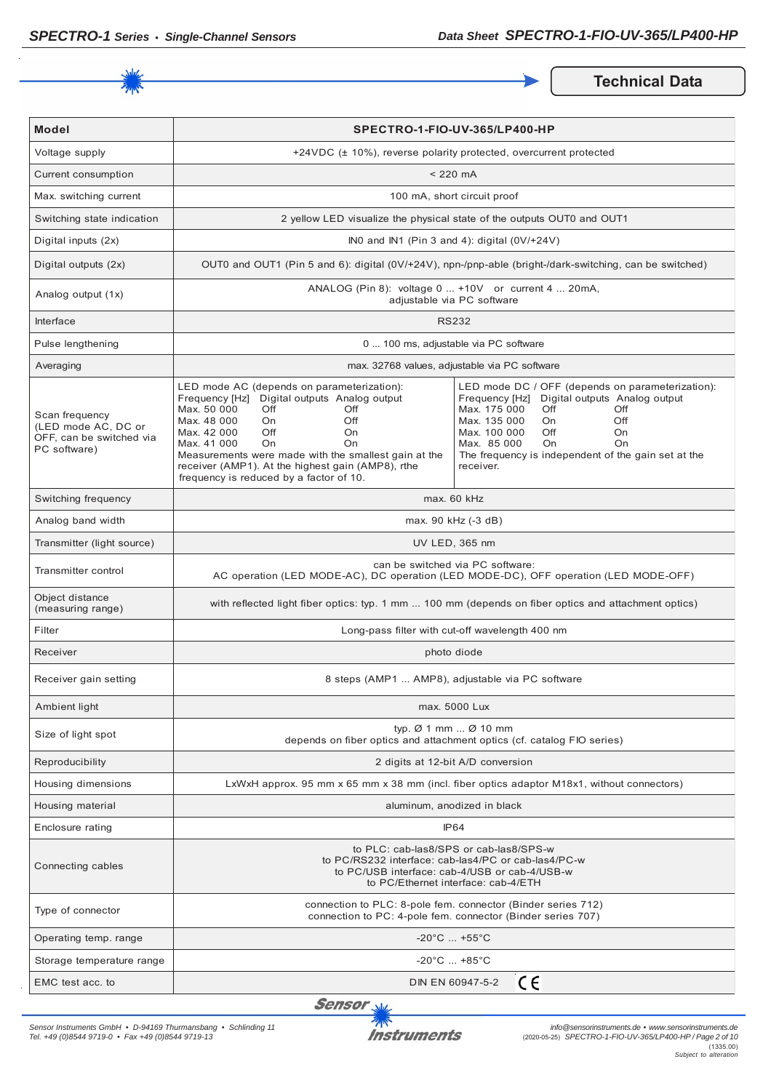

**Technical Data** 

| <b>Model</b>                                                                      | SPECTRO-1-FIO-UV-365/LP400-HP                                                                                                                                                                                                                                                                                                                                      |                                                                                                                                                                                                                                                                                          |  |
|-----------------------------------------------------------------------------------|--------------------------------------------------------------------------------------------------------------------------------------------------------------------------------------------------------------------------------------------------------------------------------------------------------------------------------------------------------------------|------------------------------------------------------------------------------------------------------------------------------------------------------------------------------------------------------------------------------------------------------------------------------------------|--|
| Voltage supply                                                                    |                                                                                                                                                                                                                                                                                                                                                                    | +24VDC (± 10%), reverse polarity protected, overcurrent protected                                                                                                                                                                                                                        |  |
| Current consumption                                                               | $< 220$ mA                                                                                                                                                                                                                                                                                                                                                         |                                                                                                                                                                                                                                                                                          |  |
| Max. switching current                                                            | 100 mA, short circuit proof                                                                                                                                                                                                                                                                                                                                        |                                                                                                                                                                                                                                                                                          |  |
| Switching state indication                                                        |                                                                                                                                                                                                                                                                                                                                                                    | 2 yellow LED visualize the physical state of the outputs OUT0 and OUT1                                                                                                                                                                                                                   |  |
| Digital inputs (2x)                                                               |                                                                                                                                                                                                                                                                                                                                                                    | IN0 and IN1 (Pin 3 and 4): digital (0V/+24V)                                                                                                                                                                                                                                             |  |
| Digital outputs (2x)                                                              | OUT0 and OUT1 (Pin 5 and 6): digital (0V/+24V), npn-/pnp-able (bright-/dark-switching, can be switched)                                                                                                                                                                                                                                                            |                                                                                                                                                                                                                                                                                          |  |
| Analog output (1x)                                                                | ANALOG (Pin 8): voltage 0  +10V or current 4  20mA,<br>adjustable via PC software                                                                                                                                                                                                                                                                                  |                                                                                                                                                                                                                                                                                          |  |
| Interface                                                                         | <b>RS232</b>                                                                                                                                                                                                                                                                                                                                                       |                                                                                                                                                                                                                                                                                          |  |
| Pulse lengthening                                                                 | 0  100 ms, adjustable via PC software                                                                                                                                                                                                                                                                                                                              |                                                                                                                                                                                                                                                                                          |  |
| Averaging                                                                         | max. 32768 values, adjustable via PC software                                                                                                                                                                                                                                                                                                                      |                                                                                                                                                                                                                                                                                          |  |
| Scan frequency<br>(LED mode AC, DC or<br>OFF, can be switched via<br>PC software) | LED mode AC (depends on parameterization):<br>Frequency [Hz] Digital outputs Analog output<br>Max. 50 000<br>Off<br>Off<br>Off<br>Max. 48 000<br>On<br>Max. 42 000<br>Off<br>On<br>Max. 41 000<br>On<br>On<br>Measurements were made with the smallest gain at the<br>receiver (AMP1). At the highest gain (AMP8), rthe<br>frequency is reduced by a factor of 10. | LED mode DC / OFF (depends on parameterization):<br>Frequency [Hz] Digital outputs Analog output<br>Max. 175 000<br>Off<br>Off<br>Max. 135 000<br>Off<br>On.<br>Max. 100 000<br>Off<br>On<br>Max. 85 000<br>On<br>On<br>The frequency is independent of the gain set at the<br>receiver. |  |
| Switching frequency                                                               | max. 60 kHz                                                                                                                                                                                                                                                                                                                                                        |                                                                                                                                                                                                                                                                                          |  |
| Analog band width                                                                 | max. 90 kHz (-3 dB)                                                                                                                                                                                                                                                                                                                                                |                                                                                                                                                                                                                                                                                          |  |
| Transmitter (light source)                                                        | UV LED, 365 nm                                                                                                                                                                                                                                                                                                                                                     |                                                                                                                                                                                                                                                                                          |  |
| Transmitter control                                                               | can be switched via PC software:<br>AC operation (LED MODE-AC), DC operation (LED MODE-DC), OFF operation (LED MODE-OFF)                                                                                                                                                                                                                                           |                                                                                                                                                                                                                                                                                          |  |
| Object distance<br>(measuring range)                                              | with reflected light fiber optics: typ. 1 mm  100 mm (depends on fiber optics and attachment optics)                                                                                                                                                                                                                                                               |                                                                                                                                                                                                                                                                                          |  |
| Filter                                                                            | Long-pass filter with cut-off wavelength 400 nm                                                                                                                                                                                                                                                                                                                    |                                                                                                                                                                                                                                                                                          |  |
| Receiver                                                                          | photo diode                                                                                                                                                                                                                                                                                                                                                        |                                                                                                                                                                                                                                                                                          |  |
| Receiver gain setting                                                             | 8 steps (AMP1  AMP8), adjustable via PC software                                                                                                                                                                                                                                                                                                                   |                                                                                                                                                                                                                                                                                          |  |
| Ambient light                                                                     | max. 5000 Lux                                                                                                                                                                                                                                                                                                                                                      |                                                                                                                                                                                                                                                                                          |  |
| Size of light spot                                                                | typ. $\varnothing$ 1 mm $\varnothing$ 10 mm<br>depends on fiber optics and attachment optics (cf. catalog FIO series)                                                                                                                                                                                                                                              |                                                                                                                                                                                                                                                                                          |  |
| Reproducibility                                                                   | 2 digits at 12-bit A/D conversion                                                                                                                                                                                                                                                                                                                                  |                                                                                                                                                                                                                                                                                          |  |
| Housing dimensions                                                                | LxWxH approx. 95 mm x 65 mm x 38 mm (incl. fiber optics adaptor M18x1, without connectors)                                                                                                                                                                                                                                                                         |                                                                                                                                                                                                                                                                                          |  |
| Housing material                                                                  | aluminum, anodized in black                                                                                                                                                                                                                                                                                                                                        |                                                                                                                                                                                                                                                                                          |  |
| Enclosure rating                                                                  | <b>IP64</b>                                                                                                                                                                                                                                                                                                                                                        |                                                                                                                                                                                                                                                                                          |  |
| Connecting cables                                                                 | to PLC: cab-las8/SPS or cab-las8/SPS-w<br>to PC/RS232 interface: cab-las4/PC or cab-las4/PC-w<br>to PC/USB interface: cab-4/USB or cab-4/USB-w<br>to PC/Ethernet interface: cab-4/ETH                                                                                                                                                                              |                                                                                                                                                                                                                                                                                          |  |
| Type of connector                                                                 | connection to PLC: 8-pole fem. connector (Binder series 712)<br>connection to PC: 4-pole fem. connector (Binder series 707)                                                                                                                                                                                                                                        |                                                                                                                                                                                                                                                                                          |  |
| Operating temp. range                                                             | $-20^{\circ}$ C $ +55^{\circ}$ C                                                                                                                                                                                                                                                                                                                                   |                                                                                                                                                                                                                                                                                          |  |
| Storage temperature range                                                         | $-20^{\circ}$ C $+85^{\circ}$ C                                                                                                                                                                                                                                                                                                                                    |                                                                                                                                                                                                                                                                                          |  |
| EMC test acc. to                                                                  | CE<br>DIN EN 60947-5-2                                                                                                                                                                                                                                                                                                                                             |                                                                                                                                                                                                                                                                                          |  |

Sensor<sub>N</sub>

*Sensor Instruments GmbH • D-94169 Thurmansbang • Schlinding 11 Tel. +49 (0)8544 9719-0 • Fax +49 (0)8544 9719-13*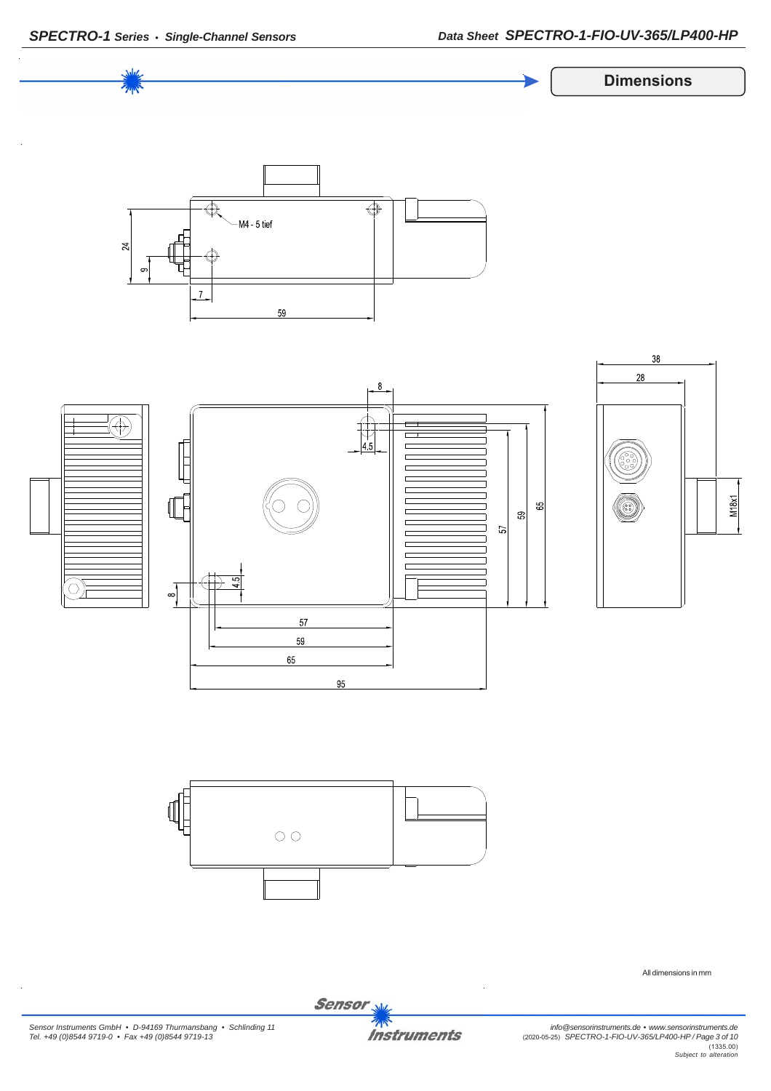

*Sensor Instruments GmbH • D-94169 Thurmansbang • Schlinding 11 Tel. +49 (0)8544 9719-0 • Fax +49 (0)8544 9719-13*



*info@sensorinstruments.de • www.sensorinstruments.de* (2020-05-25) *SPECTRO-1-FIO-UV-365/LP400-HP / Page 3 of 10* (1335.00) *Subject to alteration*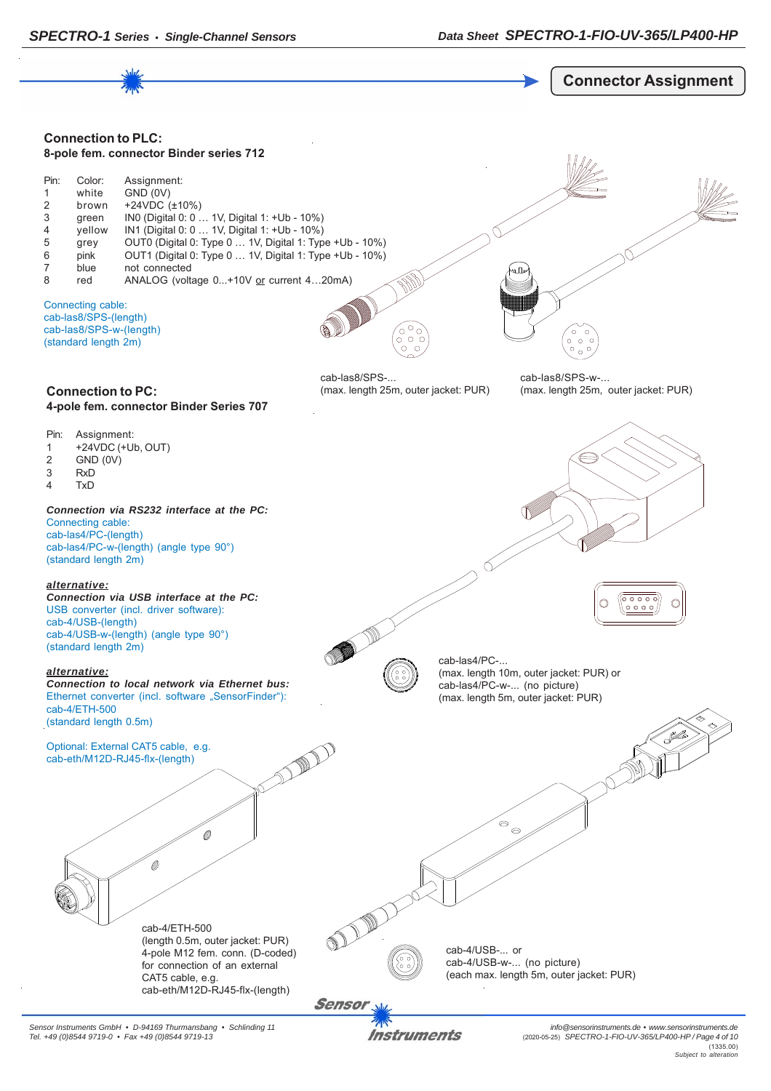

*Sensor Instruments GmbH • D-94169 Thurmansbang • Schlinding 11 Tel. +49 (0)8544 9719-0 • Fax +49 (0)8544 9719-13*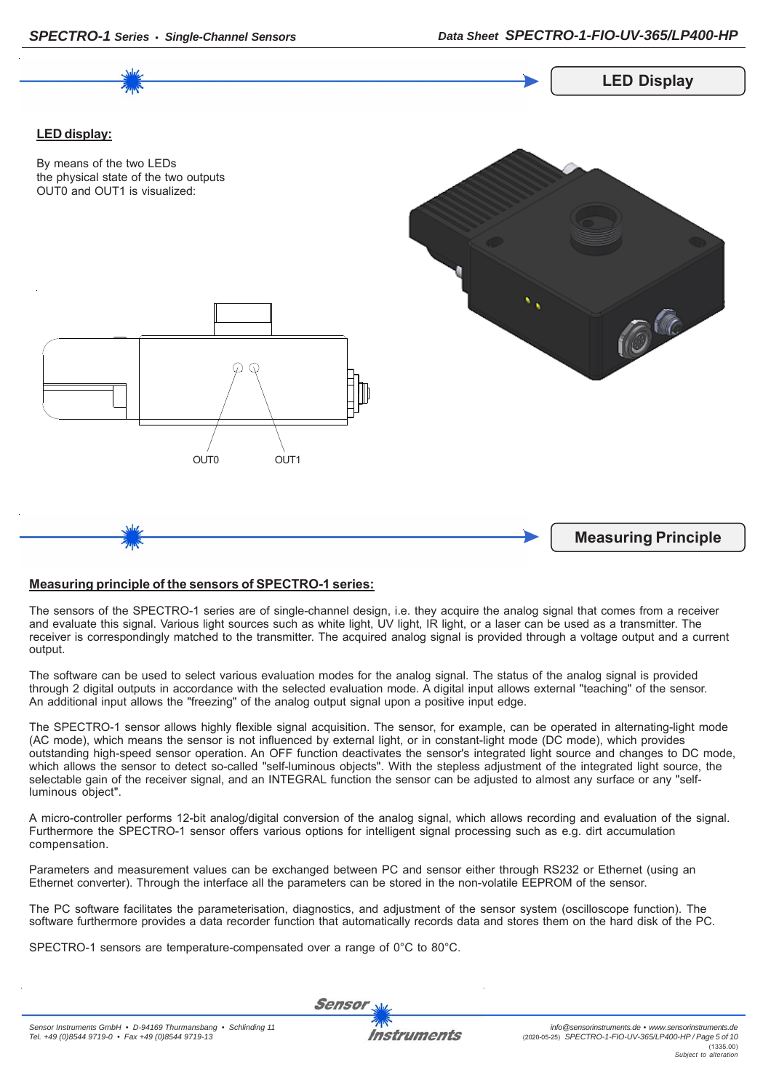

### **Measuring principle of the sensors of SPECTRO-1 series:**

The sensors of the SPECTRO-1 series are of single-channel design, i.e. they acquire the analog signal that comes from a receiver and evaluate this signal. Various light sources such as white light, UV light, IR light, or a laser can be used as a transmitter. The receiver is correspondingly matched to the transmitter. The acquired analog signal is provided through a voltage output and a current output.

The software can be used to select various evaluation modes for the analog signal. The status of the analog signal is provided through 2 digital outputs in accordance with the selected evaluation mode. A digital input allows external "teaching" of the sensor. An additional input allows the "freezing" of the analog output signal upon a positive input edge.

The SPECTRO-1 sensor allows highly flexible signal acquisition. The sensor, for example, can be operated in alternating-light mode (AC mode), which means the sensor is not influenced by external light, or in constant-light mode (DC mode), which provides outstanding high-speed sensor operation. An OFF function deactivates the sensor's integrated light source and changes to DC mode, which allows the sensor to detect so-called "self-luminous objects". With the stepless adjustment of the integrated light source, the selectable gain of the receiver signal, and an INTEGRAL function the sensor can be adjusted to almost any surface or any "selfluminous object".

A micro-controller performs 12-bit analog/digital conversion of the analog signal, which allows recording and evaluation of the signal. Furthermore the SPECTRO-1 sensor offers various options for intelligent signal processing such as e.g. dirt accumulation compensation.

Parameters and measurement values can be exchanged between PC and sensor either through RS232 or Ethernet (using an Ethernet converter). Through the interface all the parameters can be stored in the non-volatile EEPROM of the sensor.

The PC software facilitates the parameterisation, diagnostics, and adjustment of the sensor system (oscilloscope function). The software furthermore provides a data recorder function that automatically records data and stores them on the hard disk of the PC.

SPECTRO-1 sensors are temperature-compensated over a range of 0°C to 80°C.

**Sensor**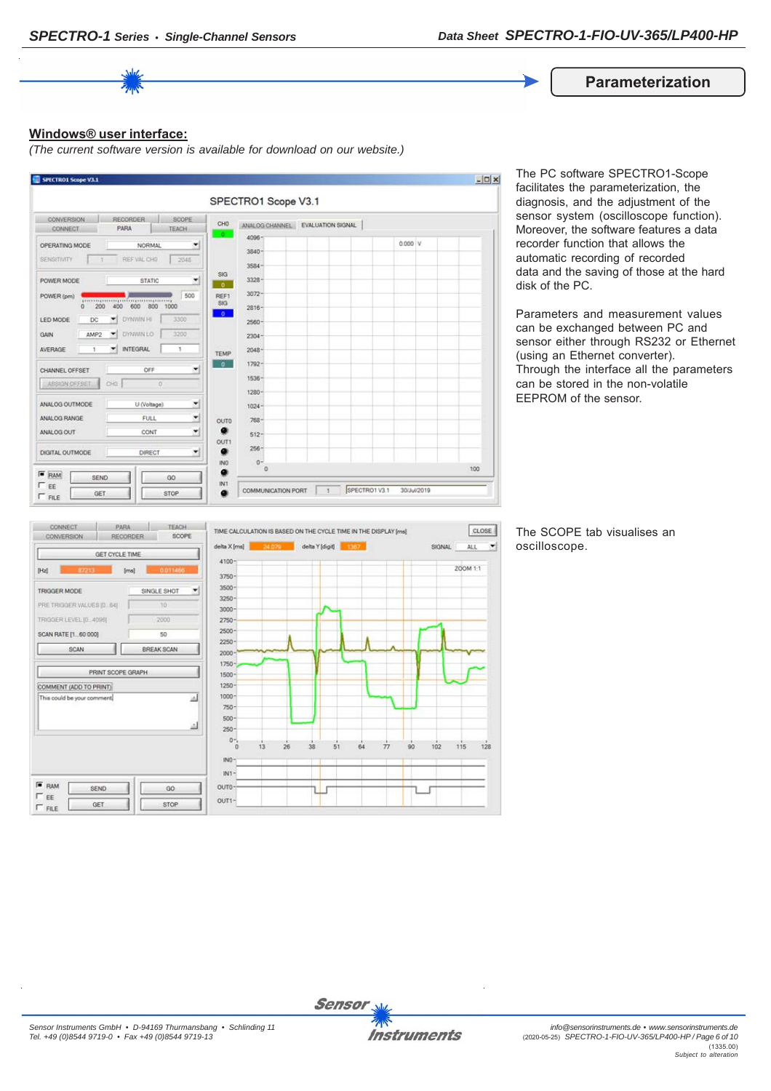**Parameterization**

#### **Windows® user interface:**

*(The current software version is available for download on our website.)*



The PC software SPECTRO1-Scope facilitates the parameterization, the diagnosis, and the adjustment of the sensor system (oscilloscope function). Moreover, the software features a data recorder function that allows the automatic recording of recorded data and the saving of those at the hard disk of the PC.

Parameters and measurement values can be exchanged between PC and sensor either through RS232 or Ethernet (using an Ethernet converter). Through the interface all the parameters can be stored in the non-volatile EEPROM of the sensor.



The SCOPE tab visualises an oscilloscope.

 $\left| \cdot \right|$ 



**Sensor**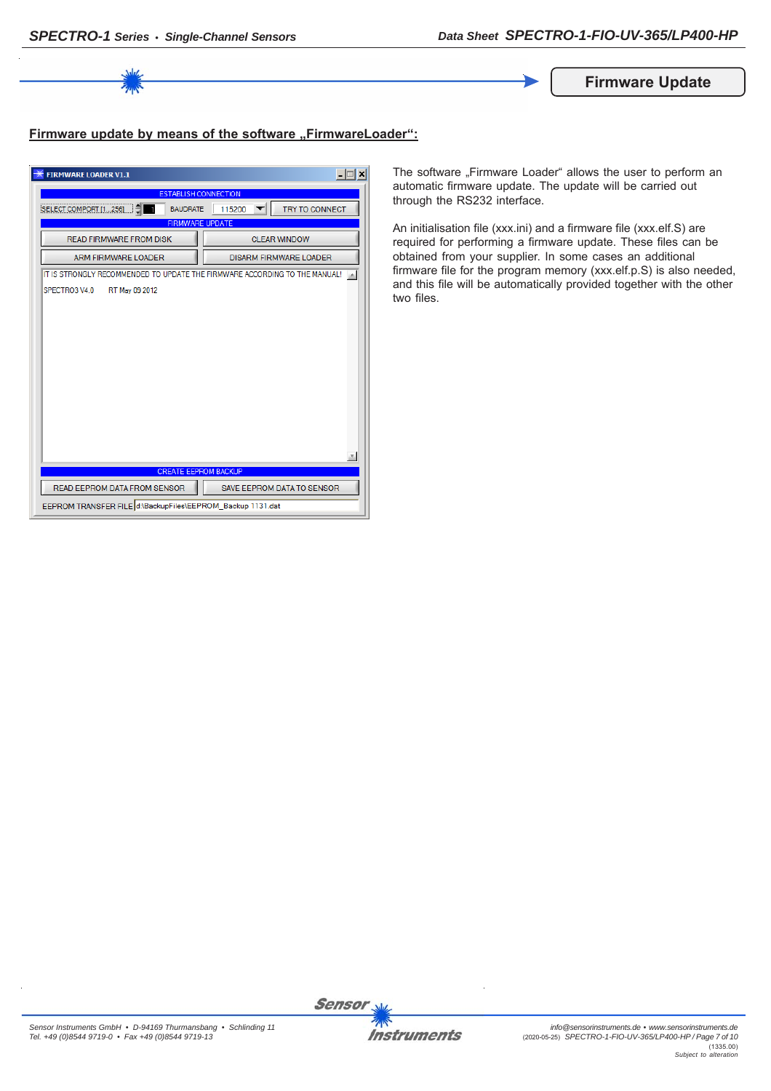

**Firmware Update**

## **Firmware update by means of the software ..FirmwareLoader":**

| <b>FIRMWARE LOADER V1.1</b>                                                | ⊥I⊟I ×                        |  |  |  |
|----------------------------------------------------------------------------|-------------------------------|--|--|--|
| <b>ESTABLISH CONNECTION</b>                                                |                               |  |  |  |
| SELECT COMPORT [1256]<br><b>BAUDRATE</b>                                   | TRY TO CONNECT<br>115200      |  |  |  |
| <b>FIRMWARE UPDATE</b>                                                     |                               |  |  |  |
| <b>READ FIRMWARE FROM DISK</b>                                             | <b>CLEAR WINDOW</b>           |  |  |  |
| ARM FIRMWARE LOADER                                                        | <b>DISARM FIRMWARE LOADER</b> |  |  |  |
| IT IS STRONGLY RECOMMENDED TO UPDATE THE FIRMWARE ACCORDING TO THE MANUAL! |                               |  |  |  |
| SPECTRO3 V4.0<br>RT May 09 2012                                            |                               |  |  |  |
|                                                                            |                               |  |  |  |
|                                                                            |                               |  |  |  |
|                                                                            |                               |  |  |  |
|                                                                            |                               |  |  |  |
|                                                                            |                               |  |  |  |
|                                                                            |                               |  |  |  |
|                                                                            |                               |  |  |  |
|                                                                            |                               |  |  |  |
|                                                                            |                               |  |  |  |
|                                                                            |                               |  |  |  |
|                                                                            |                               |  |  |  |
| <b>CREATE EEPROM BACKUP</b>                                                |                               |  |  |  |
| READ EEPROM DATA FROM SENSOR                                               | SAVE EEPROM DATA TO SENSOR    |  |  |  |
| EEPROM TRANSFER FILE d:\BackupFiles\EEPROM_Backup 1131.dat                 |                               |  |  |  |

The software "Firmware Loader" allows the user to perform an automatic firmware update. The update will be carried out through the RS232 interface.

An initialisation file (xxx.ini) and a firmware file (xxx.elf.S) are required for performing a firmware update. These files can be obtained from your supplier. In some cases an additional firmware file for the program memory (xxx.elf.p.S) is also needed, and this file will be automatically provided together with the other two files.

Sensor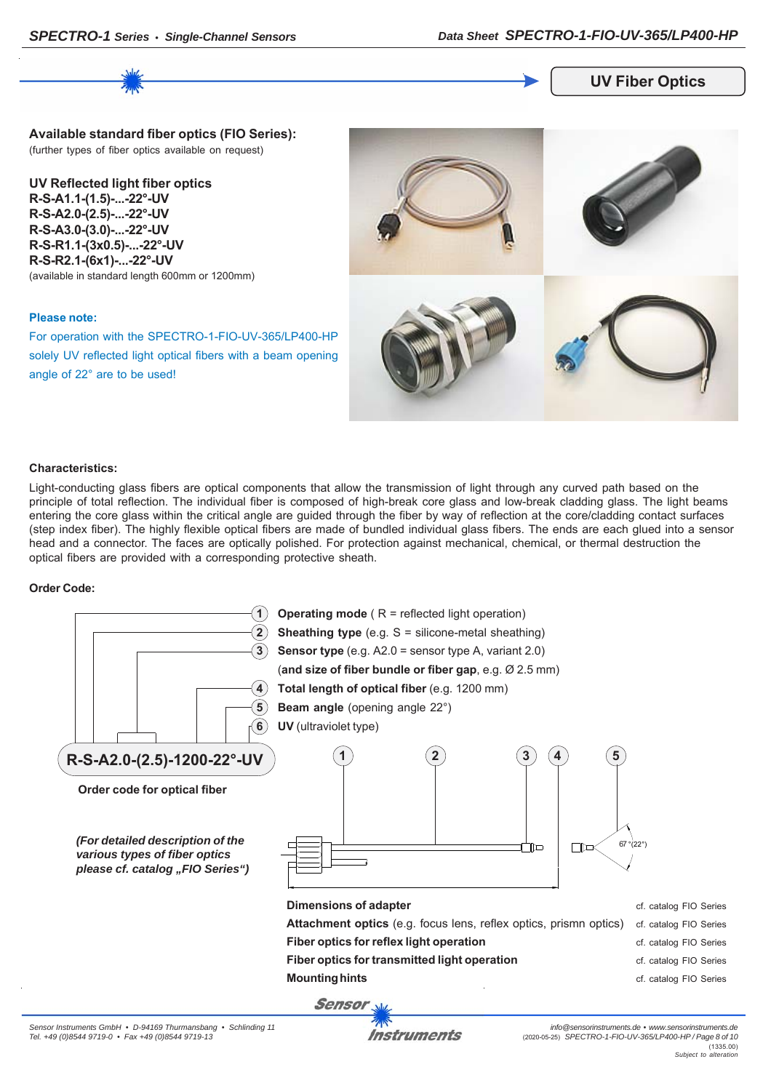## **UV Fiber Optics**

**Available standard fiber optics (FIO Series):** (further types of fiber optics available on request)

**UV Reflected light fiber optics R-S-A1.1-(1.5)-...-22°-UV R-S-A2.0-(2.5)-...-22°-UV R-S-A3.0-(3.0)-...-22°-UV R-S-R1.1-(3x0.5)-...-22°-UV R-S-R2.1-(6x1)-...-22°-UV** (available in standard length 600mm or 1200mm)

#### **Please note:**

For operation with the SPECTRO-1-FIO-UV-365/LP400-HP solely UV reflected light optical fibers with a beam opening angle of 22° are to be used!



#### **Characteristics:**

Light-conducting glass fibers are optical components that allow the transmission of light through any curved path based on the principle of total reflection. The individual fiber is composed of high-break core glass and low-break cladding glass. The light beams entering the core glass within the critical angle are guided through the fiber by way of reflection at the core/cladding contact surfaces (step index fiber). The highly flexible optical fibers are made of bundled individual glass fibers. The ends are each glued into a sensor head and a connector. The faces are optically polished. For protection against mechanical, chemical, or thermal destruction the optical fibers are provided with a corresponding protective sheath.

#### **Order Code:**



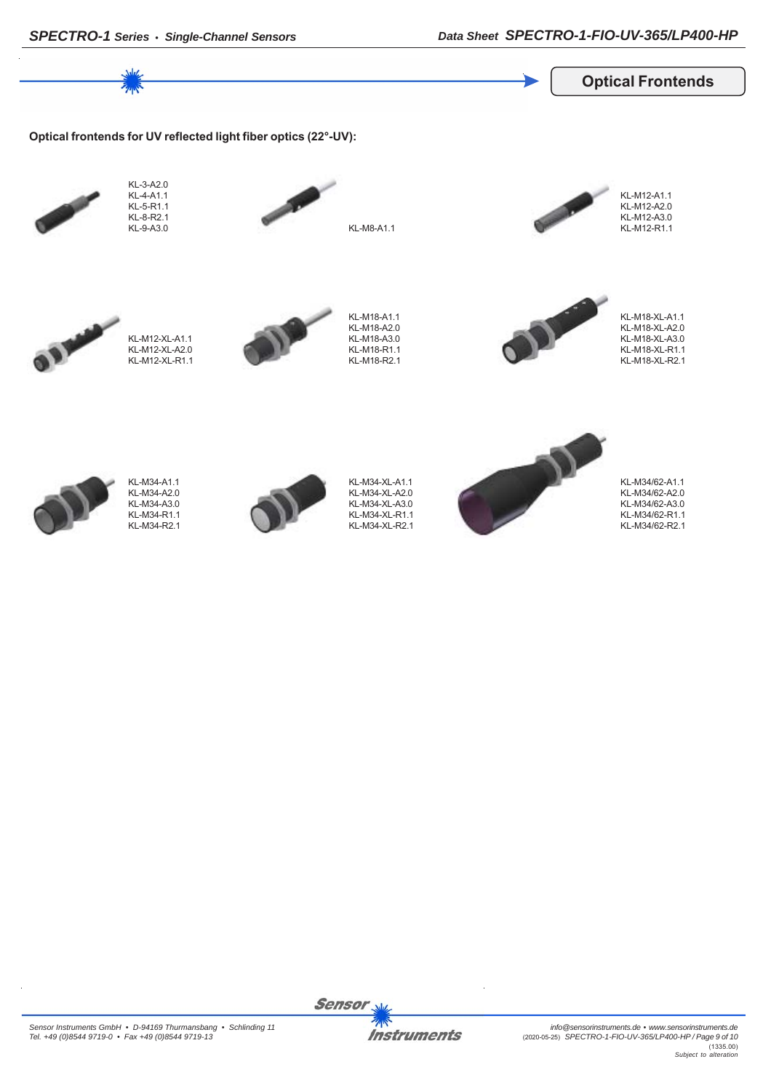